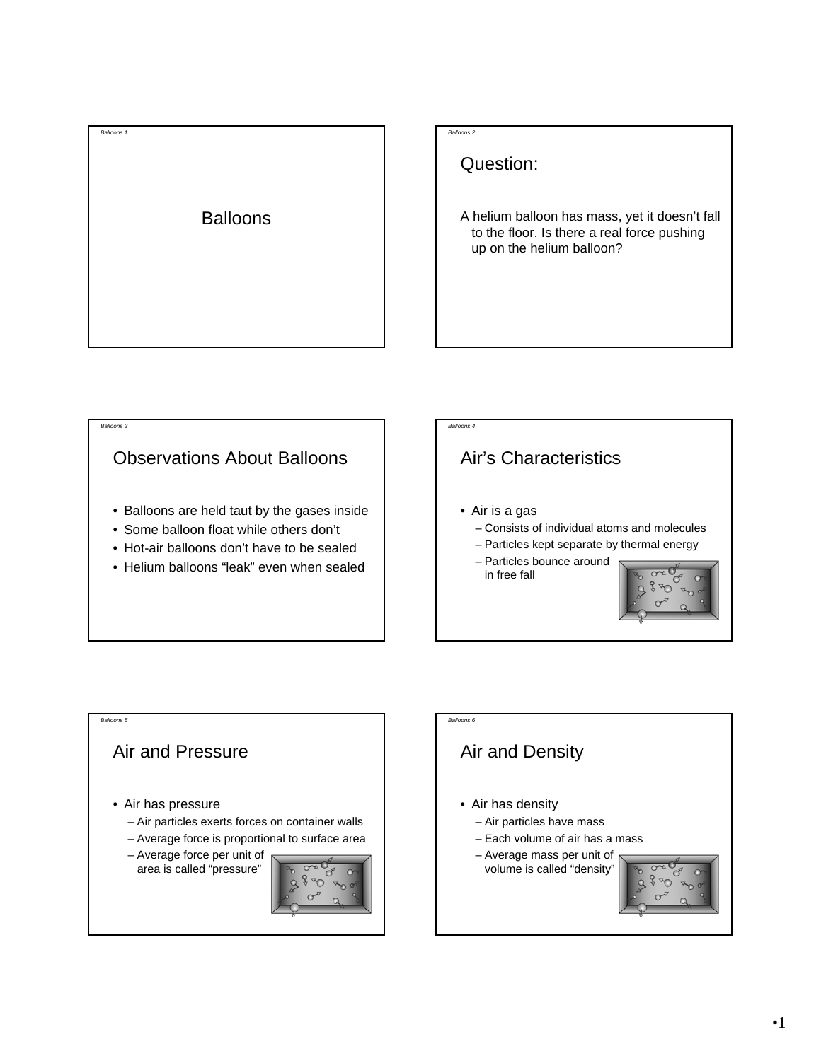

Question:

A helium balloon has mass, yet it doesn't fall to the floor. Is there a real force pushing up on the helium balloon?



*Balloons 3*

- Balloons are held taut by the gases inside
- Some balloon float while others don't
- Hot-air balloons don't have to be sealed
- Helium balloons "leak" even when sealed

### Air's Characteristics

• Air is a gas

*Balloons 4*

- Consists of individual atoms and molecules
- Particles kept separate by thermal energy
- Particles bounce around in free fall





# *Balloons 6* Air and Density • Air has density – Air particles have mass – Each volume of air has a mass – Average mass per unit of volume is called "density"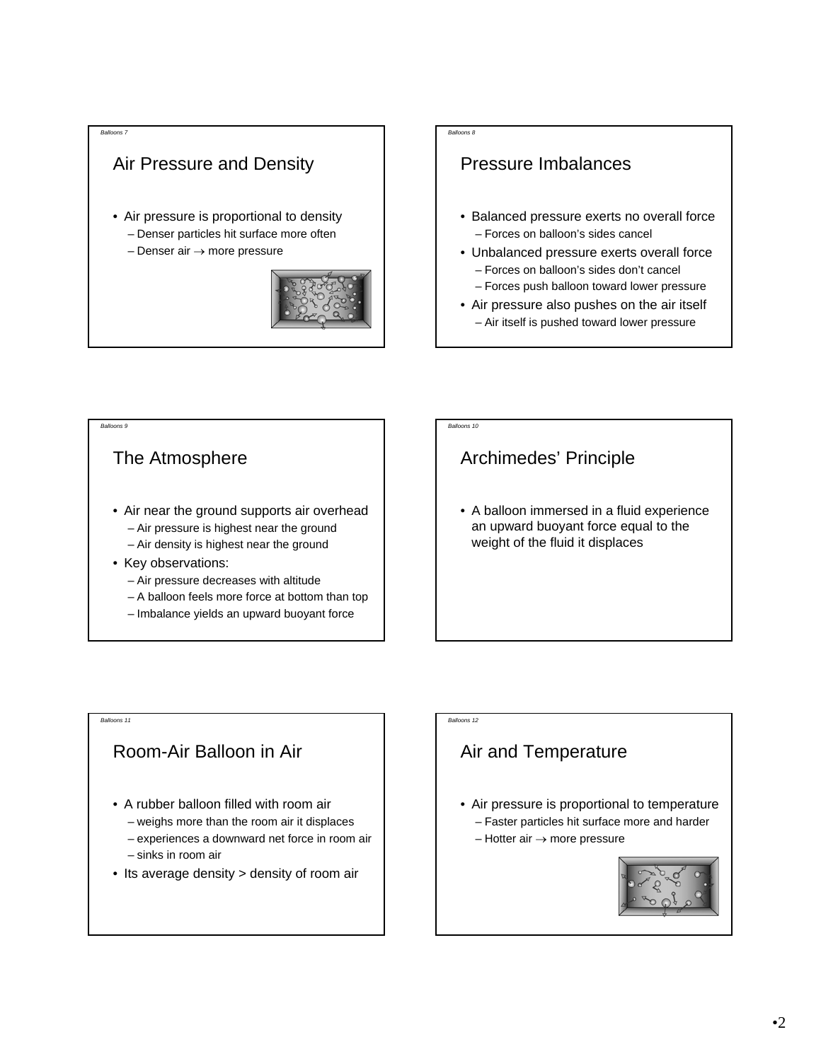### Air Pressure and Density

- Air pressure is proportional to density
	- Denser particles hit surface more often
	- Denser air → more pressure



#### *Balloons 8*

### Pressure Imbalances

- Balanced pressure exerts no overall force – Forces on balloon's sides cancel
- Unbalanced pressure exerts overall force – Forces on balloon's sides don't cancel
- Forces push balloon toward lower pressure
- Air pressure also pushes on the air itself – Air itself is pushed toward lower pressure

#### *Balloons 9*

*Balloons 11*

### The Atmosphere

- Air near the ground supports air overhead – Air pressure is highest near the ground – Air density is highest near the ground
- Key observations:
	- Air pressure decreases with altitude
	- A balloon feels more force at bottom than top
	- Imbalance yields an upward buoyant force

## Archimedes' Principle

*Balloons 10*

*Balloons 12*

• A balloon immersed in a fluid experience an upward buoyant force equal to the weight of the fluid it displaces

### Room-Air Balloon in Air

- A rubber balloon filled with room air
	- weighs more than the room air it displaces
	- experiences a downward net force in room air
	- sinks in room air
- Its average density > density of room air

### Air and Temperature

- Air pressure is proportional to temperature – Faster particles hit surface more and harder
	- $-$  Hotter air  $\rightarrow$  more pressure

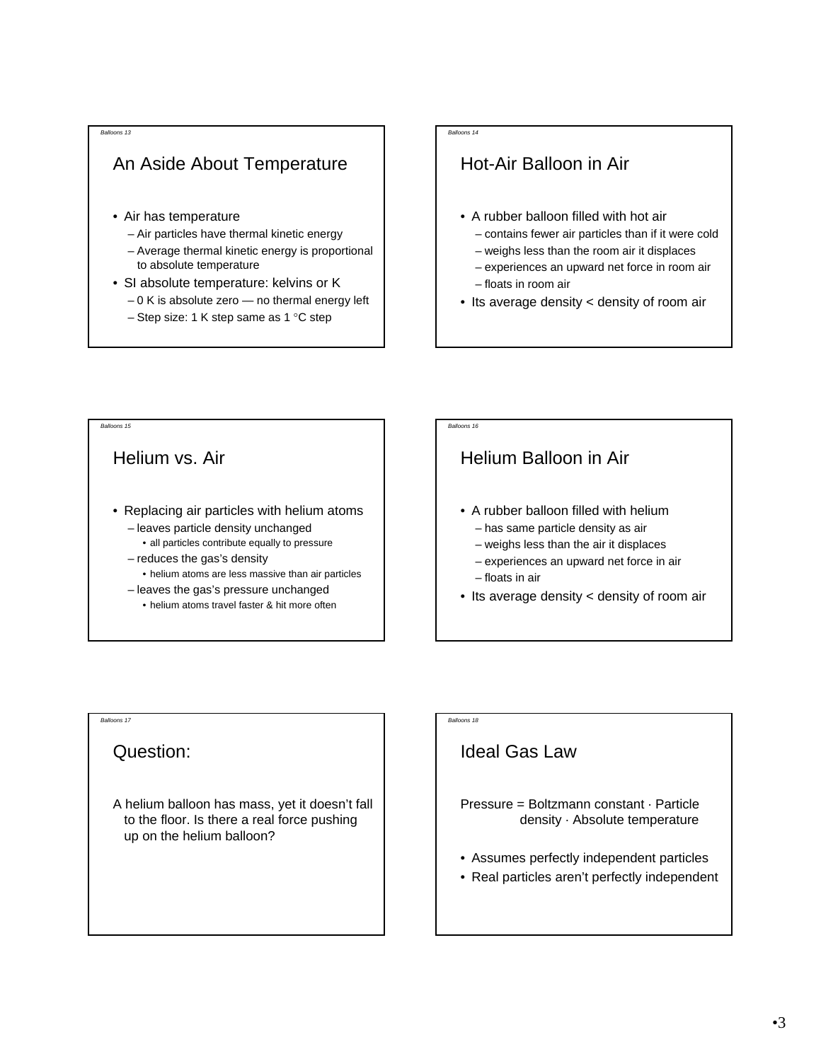### An Aside About Temperature

- Air has temperature
	- Air particles have thermal kinetic energy
	- Average thermal kinetic energy is proportional to absolute temperature
- SI absolute temperature: kelvins or K
	- $-0$  K is absolute zero  $-$  no thermal energy left
	- Step size: 1 K step same as 1 °C step

#### *Balloons 14*

### Hot-Air Balloon in Air

- A rubber balloon filled with hot air
	- contains fewer air particles than if it were cold
	- weighs less than the room air it displaces
	- experiences an upward net force in room air
	- floats in room air
- Its average density < density of room air

#### *Balloons 15* Helium vs. Air • Replacing air particles with helium atoms – leaves particle density unchanged • all particles contribute equally to pressure – reduces the gas's density • helium atoms are less massive than air particles – leaves the gas's pressure unchanged • helium atoms travel faster & hit more often *Balloons 16* Helium Balloon in Air • A rubber balloon filled with helium – has same particle density as air – weighs less than the air it displaces – experiences an upward net force in air – floats in air • Its average density < density of room air

#### *Balloons 17*

### Question:

A helium balloon has mass, yet it doesn't fall to the floor. Is there a real force pushing up on the helium balloon?

### *Balloons 18*

### Ideal Gas Law

Pressure = Boltzmann constant · Particle density · Absolute temperature

- Assumes perfectly independent particles
- Real particles aren't perfectly independent